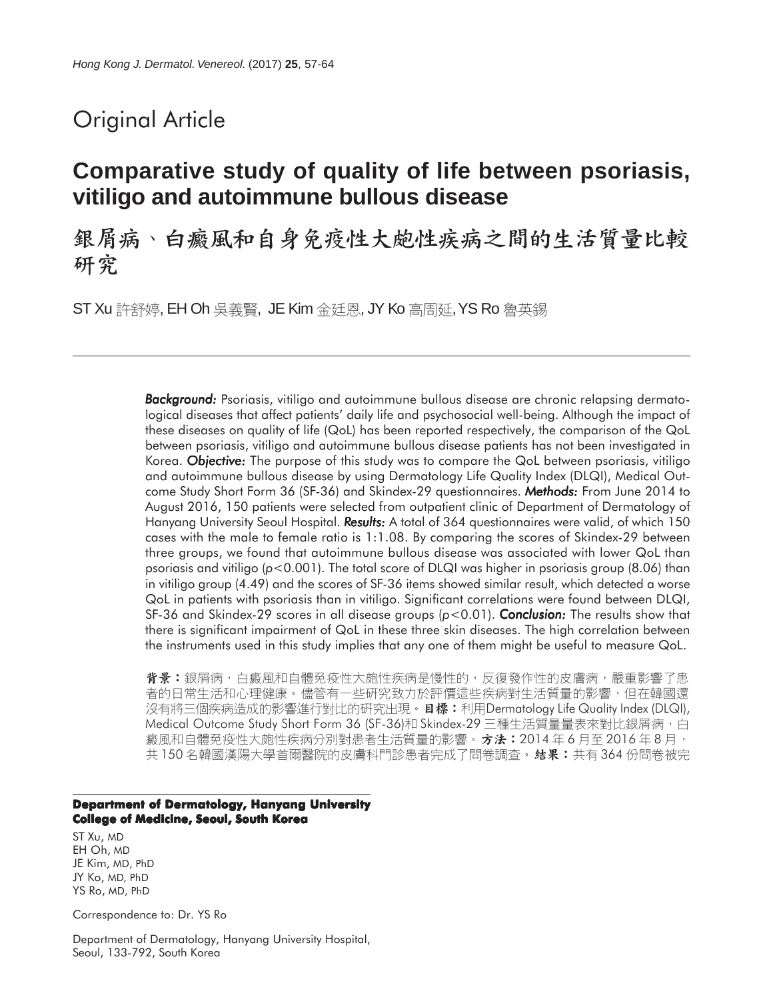# Original Article

# **Comparative study of quality of life between psoriasis, vitiligo and autoimmune bullous disease**

銀屑病、白癜風和自身免疫性大皰性疾病之間的生活質量比較 研究

ST Xu 許舒婷, EH Oh 吳義賢, JE Kim 金廷恩, JY Ko 高周延, YS Ro 魯英錫

*Background: Background:* Psoriasis, vitiligo and autoimmune bullous disease are chronic relapsing dermatological diseases that affect patients' daily life and psychosocial well-being. Although the impact of these diseases on quality of life (QoL) has been reported respectively, the comparison of the QoL between psoriasis, vitiligo and autoimmune bullous disease patients has not been investigated in Korea. *Objective:* The purpose of this study was to compare the QoL between psoriasis, vitiligo and autoimmune bullous disease by using Dermatology Life Quality Index (DLQI), Medical Outcome Study Short Form 36 (SF-36) and Skindex-29 questionnaires. *Methods:* From June 2014 to August 2016, 150 patients were selected from outpatient clinic of Department of Dermatology of Hanyang University Seoul Hospital. *Results: esults:* A total of 364 questionnaires were valid, of which 150 cases with the male to female ratio is 1:1.08. By comparing the scores of Skindex-29 between three groups, we found that autoimmune bullous disease was associated with lower QoL than psoriasis and vitiligo (*p*<0.001). The total score of DLQI was higher in psoriasis group (8.06) than in vitiligo group (4.49) and the scores of SF-36 items showed similar result, which detected a worse QoL in patients with psoriasis than in vitiligo. Significant correlations were found between DLQI, SF-36 and Skindex-29 scores in all disease groups (*p*<0.01). *Conclusion:* The results show that there is significant impairment of QoL in these three skin diseases. The high correlation between the instruments used in this study implies that any one of them might be useful to measure QoL.

**背景:**銀屑病,白癜風和自體免疫性大皰性疾病是慢性的,反復發作性的皮膚病,嚴重影響了患 者的日常生活和心理健康。儘管有一些研究致力於評價這些疾病對生活質量的影響,但在韓國還 沒有將三個疾病造成的影響進行對比的研究出現。日標:利用Dermatology Life Quality Index (DLQI), Medical Outcome Study Short Form 36 (SF-36)和 Skindex-29 三種生活質量量表來對比銀屑病, 白 癜風和自體免疫性大皰性疾病分別對患者生活質量的影響。 方法:2014 年 6 月至 2016 年 8 月, 共 150 名韓國漢陽大學首爾醫院的皮膚科門診患者完成了問卷調查。**結果:**共有 364 份問卷被完

#### **Department of Dermatology, Hanyang University College of Medicine, Seoul, South Korea**

ST Xu, MD EH Oh, MD JE Kim, MD, PhD JY Ko, MD, PhD YS Ro, MD, PhD

Correspondence to: Dr. YS Ro

Department of Dermatology, Hanyang University Hospital, Seoul, 133-792, South Korea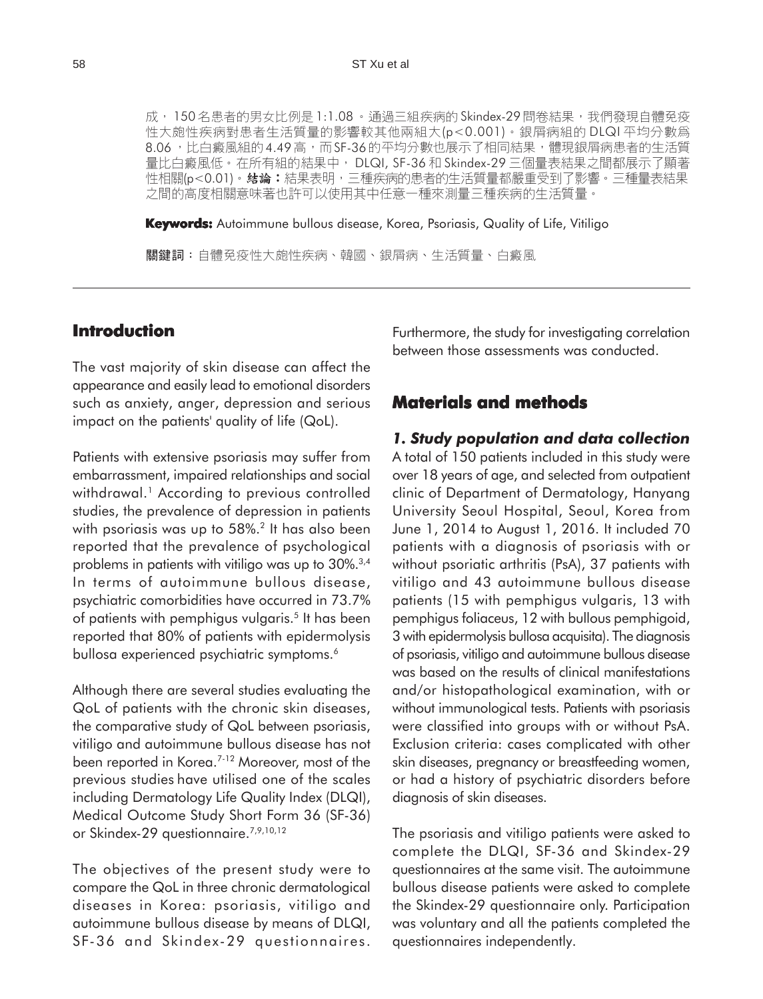成, 150名患者的男女比例是1:1.08。通過三組疾病的Skindex-29問卷結果, 我們發現自體免疫 性大皰性疾病對患者生活質量的影響較其他兩組大(p<0.001)。銀屑病組的 DLQI 平均分數為 8.06, 比白癜風組的4.49 高, 而 SF-36 的平均分數也展示了相同結果, 體現銀屑病患者的生活質 量比白癜風低。在所有組的結果中, DLQI, SF-36 和 Skindex-29 三個量表結果之間都展示了顯著 性相關(p<0.01)。 結論:結果表明,三種疾病的患者的生活質量都嚴重受到了影響。三種量表結果 之間的高度相關意味著也許可以使用其中任意一種來測量三種疾病的生活質量。

**Keywords:** Autoimmune bullous disease, Korea, Psoriasis, Quality of Life, Vitiligo

關鍵詞:自體免疫性大皰性疾病、韓國、銀屑病、生活質量、白癜風

## **Introduction**

The vast majority of skin disease can affect the appearance and easily lead to emotional disorders such as anxiety, anger, depression and serious impact on the patients' quality of life (QoL).

Patients with extensive psoriasis may suffer from embarrassment, impaired relationships and social withdrawal.<sup>1</sup> According to previous controlled studies, the prevalence of depression in patients with psoriasis was up to 58%.<sup>2</sup> It has also been reported that the prevalence of psychological problems in patients with vitiligo was up to 30%.3,4 In terms of autoimmune bullous disease, psychiatric comorbidities have occurred in 73.7% of patients with pemphigus vulgaris.<sup>5</sup> It has been reported that 80% of patients with epidermolysis bullosa experienced psychiatric symptoms.<sup>6</sup>

Although there are several studies evaluating the QoL of patients with the chronic skin diseases, the comparative study of QoL between psoriasis, vitiligo and autoimmune bullous disease has not been reported in Korea.7-12 Moreover, most of the previous studies have utilised one of the scales including Dermatology Life Quality Index (DLQI), Medical Outcome Study Short Form 36 (SF-36) or Skindex-29 questionnaire.<sup>7,9,10,12</sup>

The objectives of the present study were to compare the QoL in three chronic dermatological diseases in Korea: psoriasis, vitiligo and autoimmune bullous disease by means of DLQI, SF-36 and Skindex-29 questionnaires. Furthermore, the study for investigating correlation between those assessments was conducted.

## **Materials and methods**

#### *1. Study population and data collection*

A total of 150 patients included in this study were over 18 years of age, and selected from outpatient clinic of Department of Dermatology, Hanyang University Seoul Hospital, Seoul, Korea from June 1, 2014 to August 1, 2016. It included 70 patients with a diagnosis of psoriasis with or without psoriatic arthritis (PsA), 37 patients with vitiligo and 43 autoimmune bullous disease patients (15 with pemphigus vulgaris, 13 with pemphigus foliaceus, 12 with bullous pemphigoid, 3 with epidermolysis bullosa acquisita). The diagnosis of psoriasis, vitiligo and autoimmune bullous disease was based on the results of clinical manifestations and/or histopathological examination, with or without immunological tests. Patients with psoriasis were classified into groups with or without PsA. Exclusion criteria: cases complicated with other skin diseases, pregnancy or breastfeeding women, or had a history of psychiatric disorders before diagnosis of skin diseases.

The psoriasis and vitiligo patients were asked to complete the DLQI, SF-36 and Skindex-29 questionnaires at the same visit. The autoimmune bullous disease patients were asked to complete the Skindex-29 questionnaire only. Participation was voluntary and all the patients completed the questionnaires independently.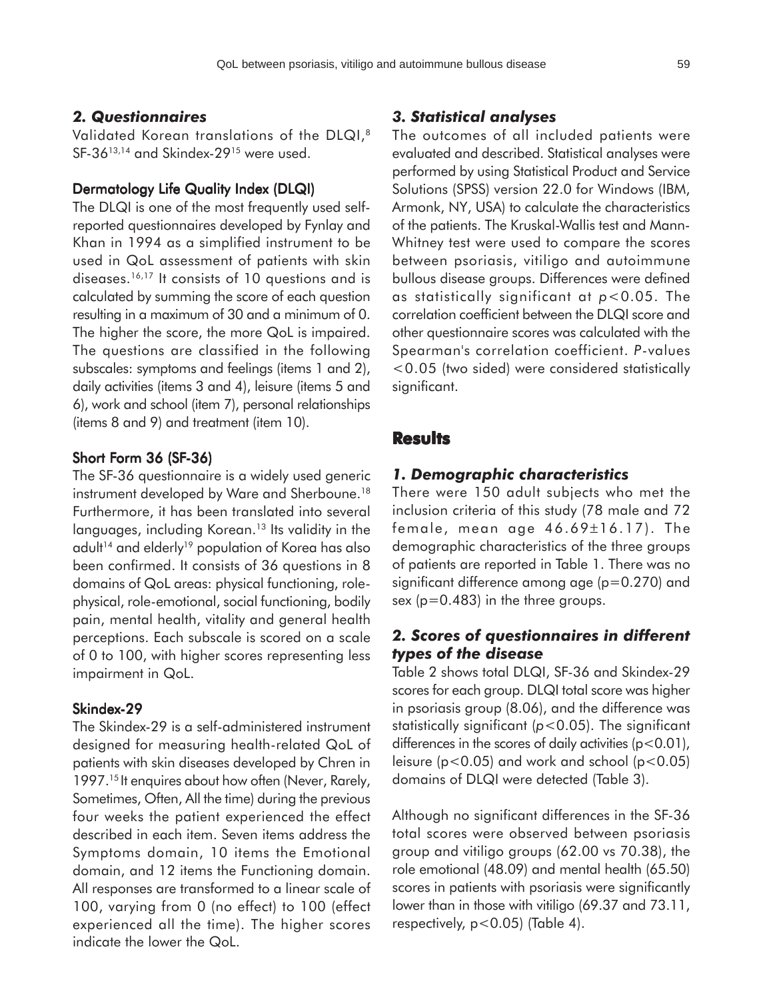### *2. Questionnaires*

Validated Korean translations of the DLQI,<sup>8</sup> SF-36<sup>13,14</sup> and Skindex-29<sup>15</sup> were used.

#### Dermatology Life Quality Index (DLQI)

The DLQI is one of the most frequently used selfreported questionnaires developed by Fynlay and Khan in 1994 as a simplified instrument to be used in QoL assessment of patients with skin diseases.16,17 It consists of 10 questions and is calculated by summing the score of each question resulting in a maximum of 30 and a minimum of 0. The higher the score, the more QoL is impaired. The questions are classified in the following subscales: symptoms and feelings (items 1 and 2), daily activities (items 3 and 4), leisure (items 5 and 6), work and school (item 7), personal relationships (items 8 and 9) and treatment (item 10).

#### Short Form 36 (SF-36)

The SF-36 questionnaire is a widely used generic instrument developed by Ware and Sherboune.<sup>18</sup> Furthermore, it has been translated into several languages, including Korean.<sup>13</sup> Its validity in the adult<sup>14</sup> and elderly<sup>19</sup> population of Korea has also been confirmed. It consists of 36 questions in 8 domains of QoL areas: physical functioning, rolephysical, role-emotional, social functioning, bodily pain, mental health, vitality and general health perceptions. Each subscale is scored on a scale of 0 to 100, with higher scores representing less impairment in QoL.

#### Skindex-29

The Skindex-29 is a self-administered instrument designed for measuring health-related QoL of patients with skin diseases developed by Chren in 1997.<sup>15</sup> It enquires about how often (Never, Rarely, Sometimes, Often, All the time) during the previous four weeks the patient experienced the effect described in each item. Seven items address the Symptoms domain, 10 items the Emotional domain, and 12 items the Functioning domain. All responses are transformed to a linear scale of 100, varying from 0 (no effect) to 100 (effect experienced all the time). The higher scores indicate the lower the QoL.

#### *3. Statistical analyses*

The outcomes of all included patients were evaluated and described. Statistical analyses were performed by using Statistical Product and Service Solutions (SPSS) version 22.0 for Windows (IBM, Armonk, NY, USA) to calculate the characteristics of the patients. The Kruskal-Wallis test and Mann-Whitney test were used to compare the scores between psoriasis, vitiligo and autoimmune bullous disease groups. Differences were defined as statistically significant at *p*<0.05. The correlation coefficient between the DLQI score and other questionnaire scores was calculated with the Spearman's correlation coefficient. *P*-values <0.05 (two sided) were considered statistically significant.

## **Results**

### *1. Demographic characteristics*

There were 150 adult subjects who met the inclusion criteria of this study (78 male and 72 female, mean age 46.69±16.17). The demographic characteristics of the three groups of patients are reported in Table 1. There was no significant difference among age (p=0.270) and sex (p=0.483) in the three groups.

## *2. Scores of questionnaires in different types of the disease*

Table 2 shows total DLQI, SF-36 and Skindex-29 scores for each group. DLQI total score was higher in psoriasis group (8.06), and the difference was statistically significant (*p*<0.05). The significant differences in the scores of daily activities  $(p<0.01)$ , leisure ( $p < 0.05$ ) and work and school ( $p < 0.05$ ) domains of DLQI were detected (Table 3).

Although no significant differences in the SF-36 total scores were observed between psoriasis group and vitiligo groups (62.00 vs 70.38), the role emotional (48.09) and mental health (65.50) scores in patients with psoriasis were significantly lower than in those with vitiligo (69.37 and 73.11, respectively,  $p < 0.05$ ) (Table 4).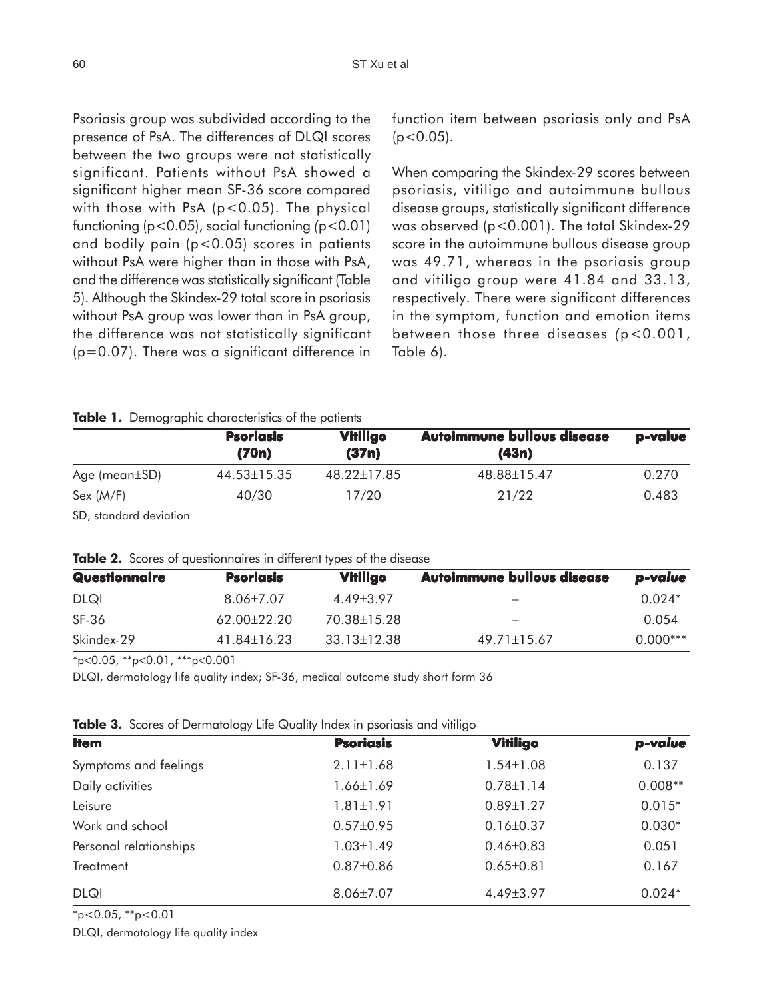Psoriasis group was subdivided according to the presence of PsA. The differences of DLQI scores between the two groups were not statistically significant. Patients without PsA showed a significant higher mean SF-36 score compared with those with PsA  $(p<0.05)$ . The physical functioning (p<0.05), social functioning *(*p<0.01) and bodily pain (p<0.05) scores in patients without PsA were higher than in those with PsA, and the difference was statistically significant (Table 5). Although the Skindex-29 total score in psoriasis without PsA group was lower than in PsA group, the difference was not statistically significant (p=0.07). There was a significant difference in

function item between psoriasis only and PsA  $(p<0.05)$ .

When comparing the Skindex-29 scores between psoriasis, vitiligo and autoimmune bullous disease groups, statistically significant difference was observed (p<0.001). The total Skindex-29 score in the autoimmune bullous disease group was 49.71, whereas in the psoriasis group and vitiligo group were 41.84 and 33.13, respectively. There were significant differences in the symptom, function and emotion items between those three diseases *(*p<0.001, Table 6).

#### **Table 1.** Demographic characteristics of the patients

|                     | <b>Psoriasis</b><br>(70n) | <b>Vitiligo</b><br>(37n) | <b>Autoimmune bullous disease</b><br>(43n) | p-value |
|---------------------|---------------------------|--------------------------|--------------------------------------------|---------|
| Age (mean $\pm$ SD) | 44.53±15.35               | 48.22±17.85              | 48.88±15.47                                | 0.270   |
| Sex (M/F)           | 40/30                     | 17/20                    | 21/22                                      | 0.483   |

SD, standard deviation

|  |  | Table 2. Scores of questionnaires in different types of the disease |  |  |  |  |  |
|--|--|---------------------------------------------------------------------|--|--|--|--|--|
|--|--|---------------------------------------------------------------------|--|--|--|--|--|

| Questionnaire | <b>Psoriasis</b> | <b>Vitiligo</b>   | <b>Autoimmune bullous disease</b> | p-value    |
|---------------|------------------|-------------------|-----------------------------------|------------|
| <b>DLQI</b>   | $8.06 \pm 7.07$  | 4.49+3.97         | -                                 | $0.024*$   |
| SF-36         | 62.00±22.20      | 70.38±15.28       | -                                 | 0.054      |
| Skindex-29    | $41.84\pm16.23$  | $33.13 \pm 12.38$ | $49.71 \pm 15.67$                 | $0.000***$ |

\*p<0.05, \*\*p<0.01, \*\*\*p<0.001

DLQI, dermatology life quality index; SF-36, medical outcome study short form 36

| Table 3. Scores of Dermatology Life Quality Index in psoriasis and vitiligo |  |  |  |  |  |
|-----------------------------------------------------------------------------|--|--|--|--|--|
|-----------------------------------------------------------------------------|--|--|--|--|--|

| <b>Item</b>            | <b>Psoriasis</b> | <b>Vitiligo</b> | p-value   |
|------------------------|------------------|-----------------|-----------|
| Symptoms and feelings  | $2.11 \pm 1.68$  | $1.54 \pm 1.08$ | 0.137     |
| Daily activities       | $1.66 \pm 1.69$  | $0.78 \pm 1.14$ | $0.008**$ |
| Leisure                | $1.81 \pm 1.91$  | $0.89 \pm 1.27$ | $0.015*$  |
| Work and school        | $0.57 \pm 0.95$  | $0.16 \pm 0.37$ | $0.030*$  |
| Personal relationships | $1.03 \pm 1.49$  | $0.46 \pm 0.83$ | 0.051     |
| <b>Treatment</b>       | $0.87 \pm 0.86$  | $0.65 \pm 0.81$ | 0.167     |
| <b>DLQI</b>            | $8.06 \pm 7.07$  | 4.49±3.97       | $0.024*$  |

 $*p<0.05$ ,  $*p<0.01$ 

DLQI, dermatology life quality index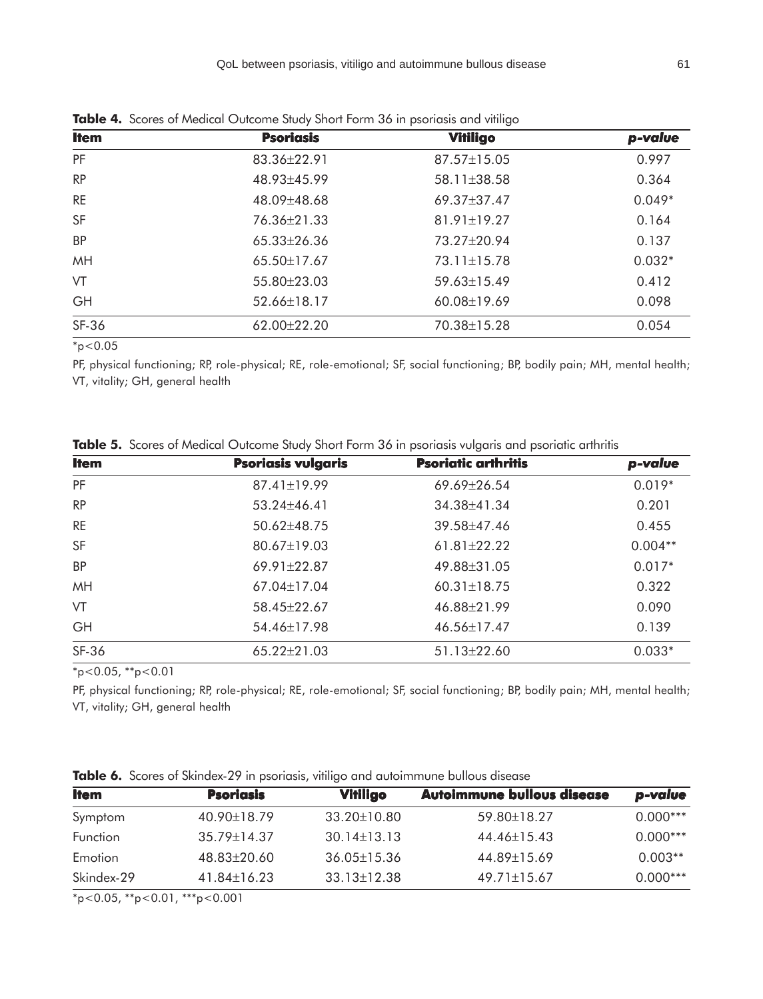| <b>Item</b> | <b>Psoriasis</b>  | Vitiligo          | p-value  |
|-------------|-------------------|-------------------|----------|
| PF          | 83.36±22.91       | 87.57±15.05       | 0.997    |
| <b>RP</b>   | 48.93±45.99       | 58.11±38.58       | 0.364    |
| <b>RE</b>   | 48.09±48.68       | 69.37±37.47       | $0.049*$ |
| <b>SF</b>   | 76.36±21.33       | $81.91 \pm 19.27$ | 0.164    |
| <b>BP</b>   | $65.33 \pm 26.36$ | 73.27±20.94       | 0.137    |
| MH          | $65.50 \pm 17.67$ | 73.11±15.78       | $0.032*$ |
| VT          | 55.80±23.03       | 59.63±15.49       | 0.412    |
| GH          | 52.66±18.17       | 60.08±19.69       | 0.098    |
| SF-36       | $62.00 \pm 22.20$ | 70.38±15.28       | 0.054    |

**Table 4.** Scores of Medical Outcome Study Short Form 36 in psoriasis and vitiligo

 $*_{p < 0.05}$ 

PF, physical functioning; RP, role-physical; RE, role-emotional; SF, social functioning; BP, bodily pain; MH, mental health; VT, vitality; GH, general health

| <b>Item</b> | <b>Psoriasis vulgaris</b> | <b>Psoriatic arthritis</b> | p-value   |
|-------------|---------------------------|----------------------------|-----------|
| PF          | 87.41±19.99               | 69.69±26.54                | $0.019*$  |
| <b>RP</b>   | $53.24 \pm 46.41$         | 34.38±41.34                | 0.201     |
| <b>RE</b>   | 50.62±48.75               | 39.58±47.46                | 0.455     |
| SF          | 80.67±19.03               | $61.81 \pm 22.22$          | $0.004**$ |
| <b>BP</b>   | 69.91±22.87               | 49.88±31.05                | $0.017*$  |
| MH          | 67.04±17.04               | 60.31±18.75                |           |
| VT          | 58.45±22.67               | 46.88±21.99                | 0.090     |
| GH          | 54.46±17.98               | 46.56±17.47                | 0.139     |
| SF-36       | 65.22±21.03               | 51.13±22.60                | $0.033*$  |
|             |                           |                            |           |

**Table 5.** Scores of Medical Outcome Study Short Form 36 in psoriasis vulgaris and psoriatic arthritis

 $*_{p<0.05, **_{p<0.01}}$ 

PF, physical functioning; RP, role-physical; RE, role-emotional; SF, social functioning; BP, bodily pain; MH, mental health; VT, vitality; GH, general health

|  |  |  |  | <b>Table 6.</b> Scores of Skindex-29 in psoriasis, vitiligo and autoimmune bullous disease |  |
|--|--|--|--|--------------------------------------------------------------------------------------------|--|
|  |  |  |  |                                                                                            |  |

| <b>Item</b>     | <b>Psoriasis</b>  | <b>Vitiligo</b>   | <b>Autoimmune bullous disease</b> | p-value    |
|-----------------|-------------------|-------------------|-----------------------------------|------------|
| Symptom         | 40.90±18.79       | $33.20 \pm 10.80$ | 59.80±18.27                       | $0.000***$ |
| <b>Function</b> | $35.79 \pm 14.37$ | $30.14 \pm 13.13$ | 44.46±15.43                       | $0.000***$ |
| Emotion         | 48.83±20.60       | $36.05 \pm 15.36$ | 44.89±15.69                       | $0.003**$  |
| Skindex-29      | $41.84 \pm 16.23$ | $33.13 \pm 12.38$ | $49.71 \pm 15.67$                 | $0.000***$ |

\*p<0.05, \*\*p<0.01, \*\*\*p<0.001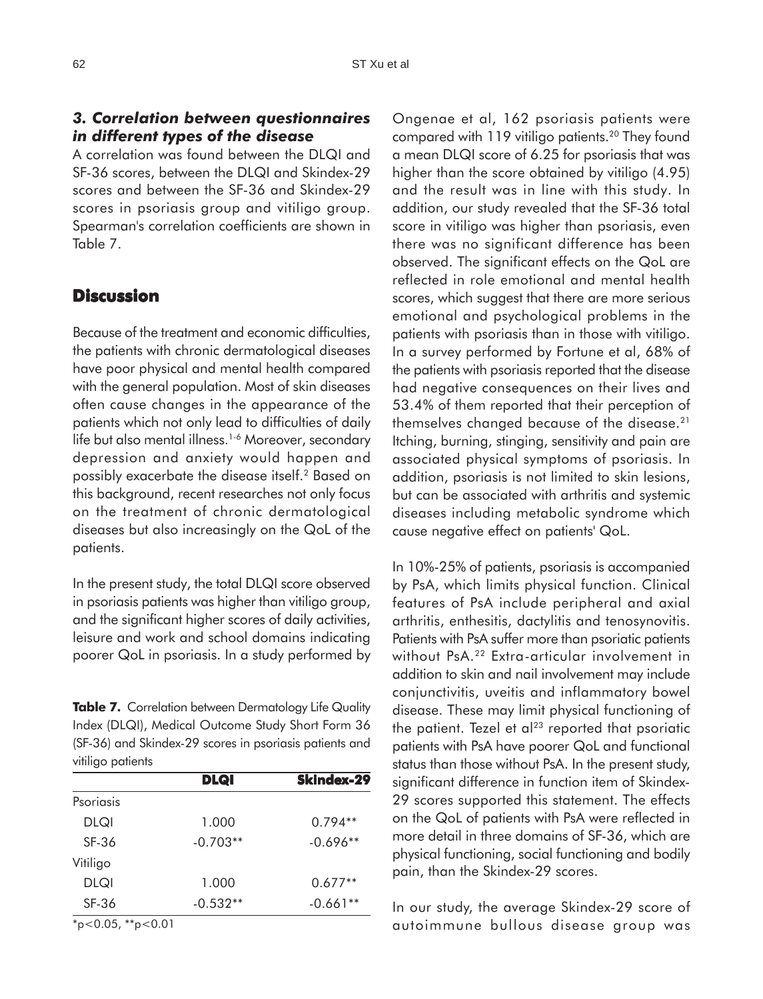## *3. Correlation between questionnaires in different types of the disease*

A correlation was found between the DLQI and SF-36 scores, between the DLQI and Skindex-29 scores and between the SF-36 and Skindex-29 scores in psoriasis group and vitiligo group. Spearman's correlation coefficients are shown in Table 7.

# **Discussion**

Because of the treatment and economic difficulties, the patients with chronic dermatological diseases have poor physical and mental health compared with the general population. Most of skin diseases often cause changes in the appearance of the patients which not only lead to difficulties of daily life but also mental illness.<sup>1-6</sup> Moreover, secondary depression and anxiety would happen and possibly exacerbate the disease itself.2 Based on this background, recent researches not only focus on the treatment of chronic dermatological diseases but also increasingly on the QoL of the patients.

In the present study, the total DLQI score observed in psoriasis patients was higher than vitiligo group, and the significant higher scores of daily activities, leisure and work and school domains indicating poorer QoL in psoriasis. In a study performed by

**Table 7.** Correlation between Dermatology Life Quality Index (DLQI), Medical Outcome Study Short Form 36 (SF-36) and Skindex-29 scores in psoriasis patients and vitiligo patients

|                                         | <b>DLQI</b>          | <b>Skindex-29</b> |
|-----------------------------------------|----------------------|-------------------|
| Psoriasis                               |                      |                   |
| <b>DLQI</b>                             | 1.000                | $0.794**$         |
| SF-36                                   | $-0.703**$           | $-0.696**$        |
| Vitiligo                                |                      |                   |
| DLQI                                    | 1.000                | $0.677**$         |
| SF-36                                   | $-0.532**$           | $-0.661**$        |
| ala.<br>$\sim$ $\sim$ $\sim$<br>als als | $\sim$ $\sim$ $\sim$ |                   |

\*p<0.05, \*\*p<0.01

Ongenae et al, 162 psoriasis patients were compared with 119 vitiligo patients.<sup>20</sup> They found a mean DLQI score of 6.25 for psoriasis that was higher than the score obtained by vitiligo (4.95) and the result was in line with this study. In addition, our study revealed that the SF-36 total score in vitiligo was higher than psoriasis, even there was no significant difference has been observed. The significant effects on the QoL are reflected in role emotional and mental health scores, which suggest that there are more serious emotional and psychological problems in the patients with psoriasis than in those with vitiligo. In a survey performed by Fortune et al, 68% of the patients with psoriasis reported that the disease had negative consequences on their lives and 53.4% of them reported that their perception of themselves changed because of the disease.21 Itching, burning, stinging, sensitivity and pain are associated physical symptoms of psoriasis. In addition, psoriasis is not limited to skin lesions, but can be associated with arthritis and systemic diseases including metabolic syndrome which cause negative effect on patients' QoL.

In 10%-25% of patients, psoriasis is accompanied by PsA, which limits physical function. Clinical features of PsA include peripheral and axial arthritis, enthesitis, dactylitis and tenosynovitis. Patients with PsA suffer more than psoriatic patients without PsA.<sup>22</sup> Extra-articular involvement in addition to skin and nail involvement may include conjunctivitis, uveitis and inflammatory bowel disease. These may limit physical functioning of the patient. Tezel et  $a^{23}$  reported that psoriatic patients with PsA have poorer QoL and functional status than those without PsA. In the present study, significant difference in function item of Skindex-29 scores supported this statement. The effects on the QoL of patients with PsA were reflected in more detail in three domains of SF-36, which are physical functioning, social functioning and bodily pain, than the Skindex-29 scores.

In our study, the average Skindex-29 score of autoimmune bullous disease group was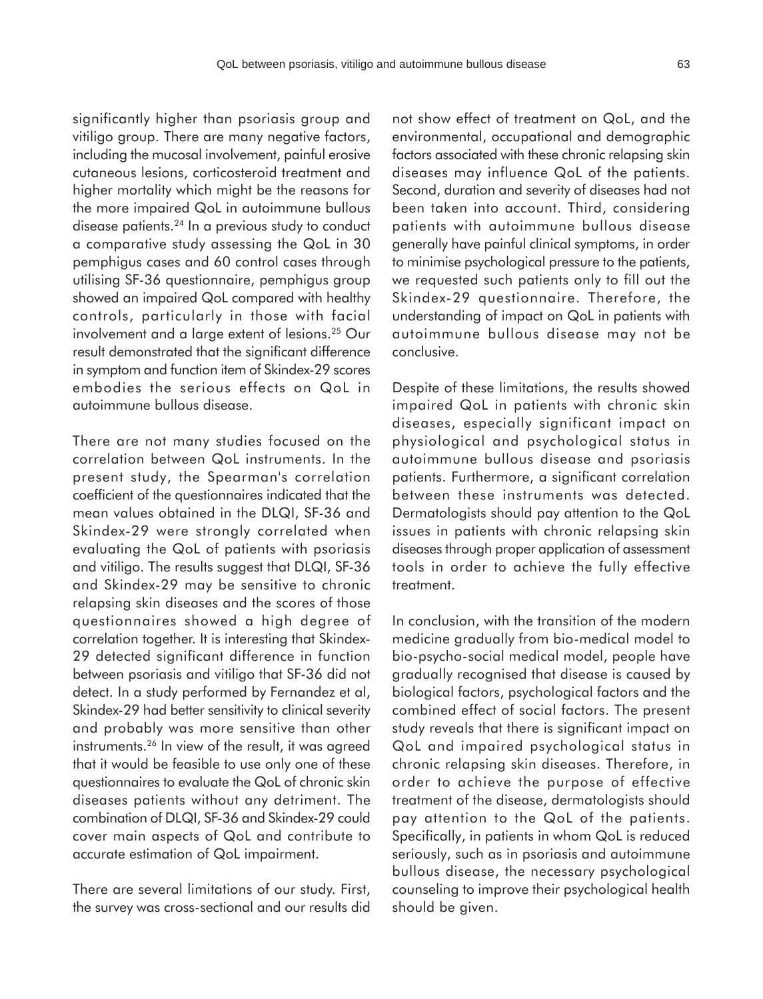significantly higher than psoriasis group and vitiligo group. There are many negative factors, including the mucosal involvement, painful erosive cutaneous lesions, corticosteroid treatment and higher mortality which might be the reasons for the more impaired QoL in autoimmune bullous disease patients.24 In a previous study to conduct a comparative study assessing the QoL in 30 pemphigus cases and 60 control cases through utilising SF-36 questionnaire, pemphigus group showed an impaired QoL compared with healthy controls, particularly in those with facial involvement and a large extent of lesions.25 Our result demonstrated that the significant difference in symptom and function item of Skindex-29 scores embodies the serious effects on QoL in autoimmune bullous disease.

There are not many studies focused on the correlation between QoL instruments. In the present study, the Spearman's correlation coefficient of the questionnaires indicated that the mean values obtained in the DLQI, SF-36 and Skindex-29 were strongly correlated when evaluating the QoL of patients with psoriasis and vitiligo. The results suggest that DLQI, SF-36 and Skindex-29 may be sensitive to chronic relapsing skin diseases and the scores of those questionnaires showed a high degree of correlation together. It is interesting that Skindex-29 detected significant difference in function between psoriasis and vitiligo that SF-36 did not detect. In a study performed by Fernandez et al, Skindex-29 had better sensitivity to clinical severity and probably was more sensitive than other instruments.26 In view of the result, it was agreed that it would be feasible to use only one of these questionnaires to evaluate the QoL of chronic skin diseases patients without any detriment. The combination of DLQI, SF-36 and Skindex-29 could cover main aspects of QoL and contribute to accurate estimation of QoL impairment.

There are several limitations of our study. First, the survey was cross-sectional and our results did not show effect of treatment on QoL, and the environmental, occupational and demographic factors associated with these chronic relapsing skin diseases may influence QoL of the patients. Second, duration and severity of diseases had not been taken into account. Third, considering patients with autoimmune bullous disease generally have painful clinical symptoms, in order to minimise psychological pressure to the patients, we requested such patients only to fill out the Skindex-29 questionnaire. Therefore, the understanding of impact on QoL in patients with autoimmune bullous disease may not be conclusive.

Despite of these limitations, the results showed impaired QoL in patients with chronic skin diseases, especially significant impact on physiological and psychological status in autoimmune bullous disease and psoriasis patients. Furthermore, a significant correlation between these instruments was detected. Dermatologists should pay attention to the QoL issues in patients with chronic relapsing skin diseases through proper application of assessment tools in order to achieve the fully effective treatment.

In conclusion, with the transition of the modern medicine gradually from bio-medical model to bio-psycho-social medical model, people have gradually recognised that disease is caused by biological factors, psychological factors and the combined effect of social factors. The present study reveals that there is significant impact on QoL and impaired psychological status in chronic relapsing skin diseases. Therefore, in order to achieve the purpose of effective treatment of the disease, dermatologists should pay attention to the QoL of the patients. Specifically, in patients in whom QoL is reduced seriously, such as in psoriasis and autoimmune bullous disease, the necessary psychological counseling to improve their psychological health should be given.